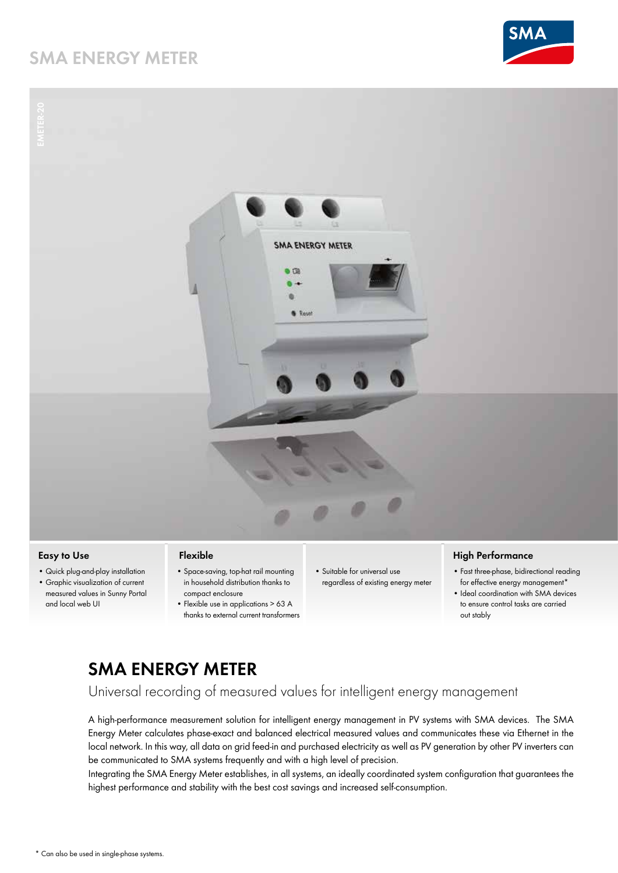# **SMA ENERGY METER**





### **Easy to Use**

- • Quick plug-and-play installation
- • Graphic visualization of current measured values in Sunny Portal and local web UI

#### **Flexible**

- • Space-saving, top-hat rail mounting in household distribution thanks to compact enclosure
- Flexible use in applications > 63 A thanks to external current transformers
- • Suitable for universal use regardless of existing energy meter

### **High Performance**

- • Fast three-phase, bidirectional reading for effective energy management\*
- Ideal coordination with SMA devices to ensure control tasks are carried out stably

# **SMA ENERGY METER**

Universal recording of measured values for intelligent energy management

A high-performance measurement solution for intelligent energy management in PV systems with SMA devices. The SMA Energy Meter calculates phase-exact and balanced electrical measured values and communicates these via Ethernet in the local network. In this way, all data on grid feed-in and purchased electricity as well as PV generation by other PV inverters can be communicated to SMA systems frequently and with a high level of precision.

Integrating the SMA Energy Meter establishes, in all systems, an ideally coordinated system configuration that guarantees the highest performance and stability with the best cost savings and increased self-consumption.